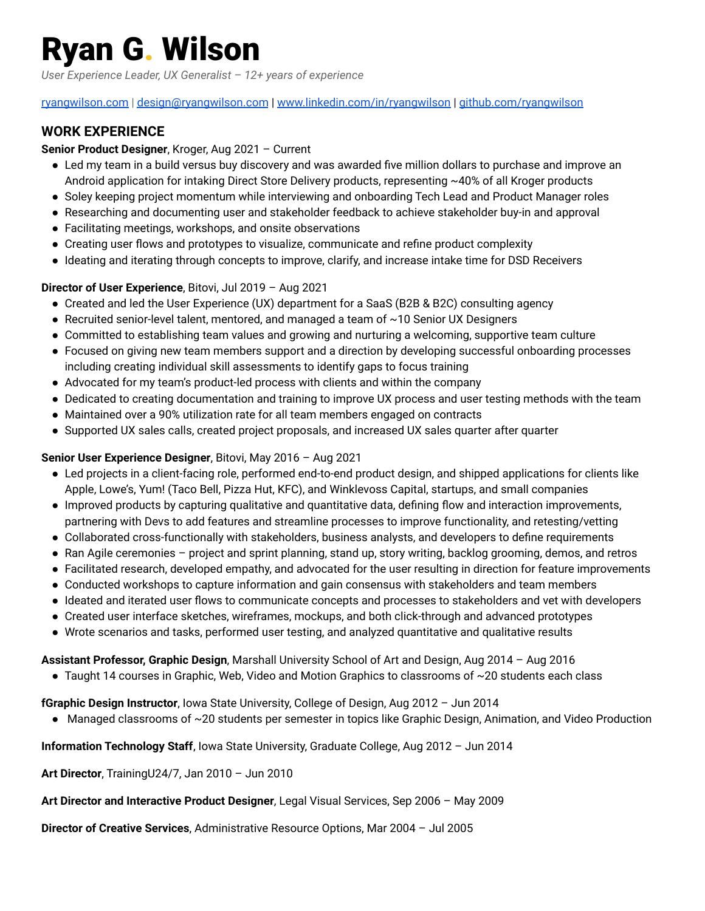# Ryan G. Wilson

*User Experience Leader, UX Generalist – 12+ years of experience*

#### [ryangwilson.com](https://ryangwilson.com/) | [design@ryangwilson.com](mailto:design@ryangwilson.com) | [www.linkedin.com/in/ryangwilson](http://www.linkedin.com/in/ryangwilson) | [github.com/ryangwilson](https://github.com/ryangwilson)

## **WORK EXPERIENCE**

#### **Senior Product Designer**, Kroger, Aug 2021 – Current

- Led my team in a build versus buy discovery and was awarded five million dollars to purchase and improve an Android application for intaking Direct Store Delivery products, representing ~40% of all Kroger products
- Soley keeping project momentum while interviewing and onboarding Tech Lead and Product Manager roles
- Researching and documenting user and stakeholder feedback to achieve stakeholder buy-in and approval
- Facilitating meetings, workshops, and onsite observations
- Creating user flows and prototypes to visualize, communicate and refine product complexity
- Ideating and iterating through concepts to improve, clarify, and increase intake time for DSD Receivers

### **Director of User Experience**, Bitovi, Jul 2019 – Aug 2021

- Created and led the User Experience (UX) department for a SaaS (B2B & B2C) consulting agency
- $\bullet$  Recruited senior-level talent, mentored, and managed a team of  $\sim$ 10 Senior UX Designers
- Committed to establishing team values and growing and nurturing a welcoming, supportive team culture
- Focused on giving new team members support and a direction by developing successful onboarding processes including creating individual skill assessments to identify gaps to focus training
- Advocated for my team's product-led process with clients and within the company
- Dedicated to creating documentation and training to improve UX process and user testing methods with the team
- Maintained over a 90% utilization rate for all team members engaged on contracts
- Supported UX sales calls, created project proposals, and increased UX sales quarter after quarter

#### **Senior User Experience Designer**, Bitovi, May 2016 – Aug 2021

- Led projects in a client-facing role, performed end-to-end product design, and shipped applications for clients like Apple, Lowe's, Yum! (Taco Bell, Pizza Hut, KFC), and Winklevoss Capital, startups, and small companies
- Improved products by capturing qualitative and quantitative data, defining flow and interaction improvements, partnering with Devs to add features and streamline processes to improve functionality, and retesting/vetting
- Collaborated cross-functionally with stakeholders, business analysts, and developers to define requirements
- Ran Agile ceremonies project and sprint planning, stand up, story writing, backlog grooming, demos, and retros
- Facilitated research, developed empathy, and advocated for the user resulting in direction for feature improvements
- Conducted workshops to capture information and gain consensus with stakeholders and team members
- Ideated and iterated user flows to communicate concepts and processes to stakeholders and vet with developers
- Created user interface sketches, wireframes, mockups, and both click-through and advanced prototypes
- Wrote scenarios and tasks, performed user testing, and analyzed quantitative and qualitative results

#### **Assistant Professor, Graphic Design**, Marshall University School of Art and Design, Aug 2014 – Aug 2016

● Taught 14 courses in Graphic, Web, Video and Motion Graphics to classrooms of ~20 students each class

#### **fGraphic Design Instructor**, Iowa State University, College of Design, Aug 2012 – Jun 2014

● Managed classrooms of ~20 students per semester in topics like Graphic Design, Animation, and Video Production

#### **Information Technology Staff**, Iowa State University, Graduate College, Aug 2012 – Jun 2014

**Art Director**, TrainingU24/7, Jan 2010 – Jun 2010

#### **Art Director and Interactive Product Designer**, Legal Visual Services, Sep 2006 – May 2009

**Director of Creative Services**, Administrative Resource Options, Mar 2004 – Jul 2005